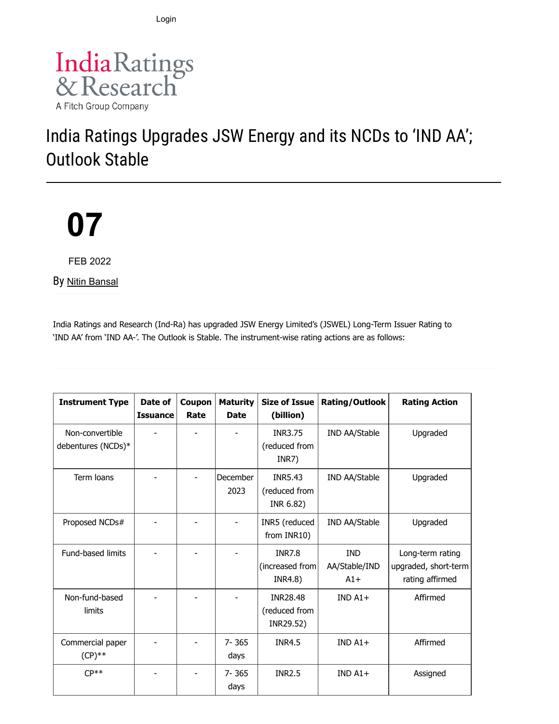Login



# India Ratings Upgrades JSW Energy and its NCDs to 'IND AA'; Outlook Stable

# **07**

FEB 2022

By [Nitin Bansal](https://www.indiaratings.co.in/Analyst?analystID=127&analystName=Nitin%20Bansal)

India Ratings and Research (Ind-Ra) has upgraded JSW Energy Limited's (JSWEL) Long-Term Issuer Rating to 'IND AA' from 'IND AA-'. The Outlook is Stable. The instrument-wise rating actions are as follows:

| <b>Instrument Type</b>                | Date of<br><b>Issuance</b> | Coupon<br>Rate | <b>Maturity</b><br><b>Date</b> | <b>Size of Issue</b><br>(billion)             | Rating/Outlook                       | <b>Rating Action</b>                                        |
|---------------------------------------|----------------------------|----------------|--------------------------------|-----------------------------------------------|--------------------------------------|-------------------------------------------------------------|
| Non-convertible<br>debentures (NCDs)* |                            |                |                                | INR3.75<br>(reduced from<br>INR7)             | <b>IND AA/Stable</b>                 | Upgraded                                                    |
| Term loans                            |                            |                | December<br>2023               | <b>INR5.43</b><br>(reduced from<br>INR 6.82)  | IND AA/Stable                        | Upgraded                                                    |
| Proposed NCDs#                        |                            |                |                                | INR5 (reduced<br>from INR10)                  | IND AA/Stable                        | Upgraded                                                    |
| Fund-based limits                     |                            |                |                                | <b>INR7.8</b><br>(increased from<br>INR4.8)   | <b>IND</b><br>AA/Stable/IND<br>$A1+$ | Long-term rating<br>upgraded, short-term<br>rating affirmed |
| Non-fund-based<br>limits              |                            |                |                                | <b>INR28.48</b><br>(reduced from<br>INR29.52) | $INDA1+$                             | Affirmed                                                    |
| Commercial paper<br>$(CP)$ **         |                            |                | $7 - 365$<br>days              | <b>INR4.5</b>                                 | $INDA1+$                             | Affirmed                                                    |
| $CP**$                                |                            |                | $7 - 365$<br>days              | <b>INR2.5</b>                                 | $INDA1+$                             | Assigned                                                    |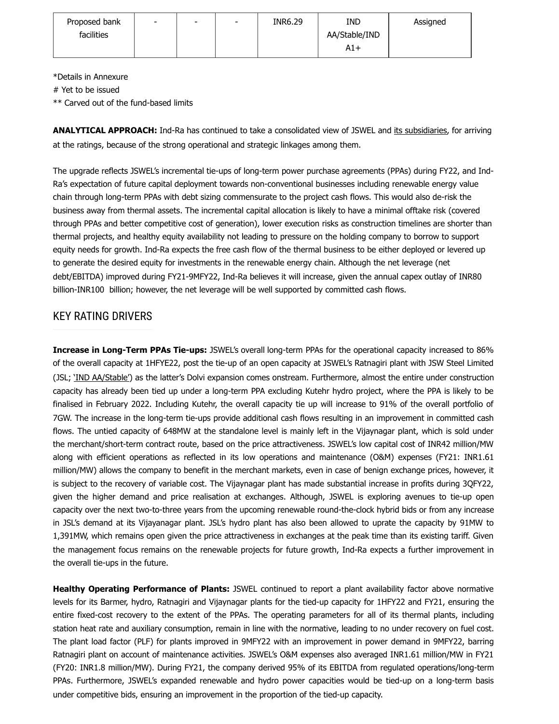| Proposed bank | $\overline{\phantom{0}}$ | - | INR6.29 | <b>IND</b>    | Assigned |
|---------------|--------------------------|---|---------|---------------|----------|
| facilities    |                          |   |         | AA/Stable/IND |          |
|               |                          |   |         | $A1+$         |          |

\*Details in Annexure

# Yet to be issued

\*\* Carved out of the fund-based limits

**ANALYTICAL APPROACH:** Ind-Ra has continued to take a consolidated view of JSWEL and [its subsidiaries](https://indiaratings.co.in/data/Uploads/Others/Subs/JSWEL%20-%20list%20of%20subs.pdf), for arriving at the ratings, because of the strong operational and strategic linkages among them.

The upgrade reflects JSWEL's incremental tie-ups of long-term power purchase agreements (PPAs) during FY22, and Ind-Ra's expectation of future capital deployment towards non-conventional businesses including renewable energy value chain through long-term PPAs with debt sizing commensurate to the project cash flows. This would also de-risk the business away from thermal assets. The incremental capital allocation is likely to have a minimal offtake risk (covered through PPAs and better competitive cost of generation), lower execution risks as construction timelines are shorter than thermal projects, and healthy equity availability not leading to pressure on the holding company to borrow to support equity needs for growth. Ind-Ra expects the free cash flow of the thermal business to be either deployed or levered up to generate the desired equity for investments in the renewable energy chain. Although the net leverage (net debt/EBITDA) improved during FY21-9MFY22, Ind-Ra believes it will increase, given the annual capex outlay of INR80 billion-INR100 billion; however, the net leverage will be well supported by committed cash flows.

# KEY RATING DRIVERS

**Increase in Long-Term PPAs Tie-ups:** JSWEL's overall long-term PPAs for the operational capacity increased to 86% of the overall capacity at 1HFYE22, post the tie-up of an open capacity at JSWEL's Ratnagiri plant with JSW Steel Limited (JSL; ['IND AA/Stable'](https://www.indiaratings.co.in/PressRelease?pressReleaseID=54435)) as the latter's Dolvi expansion comes onstream. Furthermore, almost the entire under construction capacity has already been tied up under a long-term PPA excluding Kutehr hydro project, where the PPA is likely to be finalised in February 2022. Including Kutehr, the overall capacity tie up will increase to 91% of the overall portfolio of 7GW. The increase in the long-term tie-ups provide additional cash flows resulting in an improvement in committed cash flows. The untied capacity of 648MW at the standalone level is mainly left in the Vijaynagar plant, which is sold under the merchant/short-term contract route, based on the price attractiveness. JSWEL's low capital cost of INR42 million/MW along with efficient operations as reflected in its low operations and maintenance (O&M) expenses (FY21: INR1.61 million/MW) allows the company to benefit in the merchant markets, even in case of benign exchange prices, however, it is subject to the recovery of variable cost. The Vijaynagar plant has made substantial increase in profits during 3QFY22, given the higher demand and price realisation at exchanges. Although, JSWEL is exploring avenues to tie-up open capacity over the next two-to-three years from the upcoming renewable round-the-clock hybrid bids or from any increase in JSL's demand at its Vijayanagar plant. JSL's hydro plant has also been allowed to uprate the capacity by 91MW to 1,391MW, which remains open given the price attractiveness in exchanges at the peak time than its existing tariff. Given the management focus remains on the renewable projects for future growth, Ind-Ra expects a further improvement in the overall tie-ups in the future.

**Healthy Operating Performance of Plants:** JSWEL continued to report a plant availability factor above normative levels for its Barmer, hydro, Ratnagiri and Vijaynagar plants for the tied-up capacity for 1HFY22 and FY21, ensuring the entire fixed-cost recovery to the extent of the PPAs. The operating parameters for all of its thermal plants, including station heat rate and auxiliary consumption, remain in line with the normative, leading to no under recovery on fuel cost. The plant load factor (PLF) for plants improved in 9MFY22 with an improvement in power demand in 9MFY22, barring Ratnagiri plant on account of maintenance activities. JSWEL's O&M expenses also averaged INR1.61 million/MW in FY21 (FY20: INR1.8 million/MW). During FY21, the company derived 95% of its EBITDA from regulated operations/long-term PPAs. Furthermore, JSWEL's expanded renewable and hydro power capacities would be tied-up on a long-term basis under competitive bids, ensuring an improvement in the proportion of the tied-up capacity.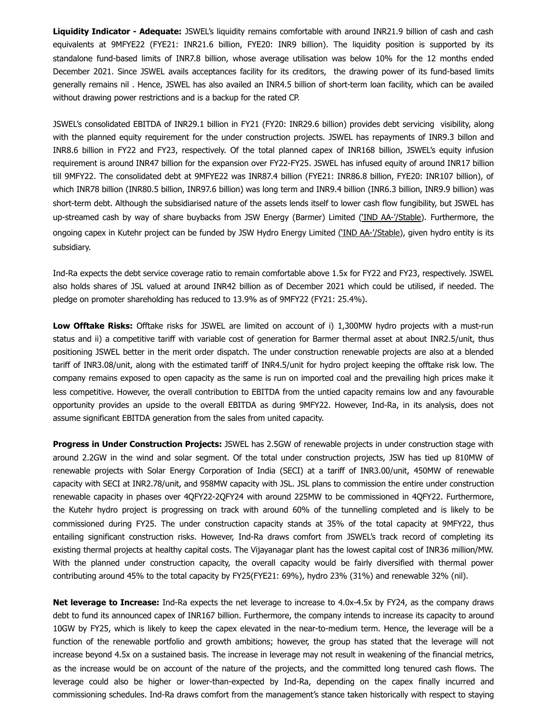**Liquidity Indicator - Adequate:** JSWEL's liquidity remains comfortable with around INR21.9 billion of cash and cash equivalents at 9MFYE22 (FYE21: INR21.6 billion, FYE20: INR9 billion). The liquidity position is supported by its standalone fund-based limits of INR7.8 billion, whose average utilisation was below 10% for the 12 months ended December 2021. Since JSWEL avails acceptances facility for its creditors, the drawing power of its fund-based limits generally remains nil . Hence, JSWEL has also availed an INR4.5 billion of short-term loan facility, which can be availed without drawing power restrictions and is a backup for the rated CP.

JSWEL's consolidated EBITDA of INR29.1 billion in FY21 (FY20: INR29.6 billion) provides debt servicing visibility, along with the planned equity requirement for the under construction projects. JSWEL has repayments of INR9.3 billon and INR8.6 billion in FY22 and FY23, respectively. Of the total planned capex of INR168 billion, JSWEL's equity infusion requirement is around INR47 billion for the expansion over FY22-FY25. JSWEL has infused equity of around INR17 billion till 9MFY22. The consolidated debt at 9MFYE22 was INR87.4 billion (FYE21: INR86.8 billion, FYE20: INR107 billion), of which INR78 billion (INR80.5 billion, INR97.6 billion) was long term and INR9.4 billion (INR6.3 billion, INR9.9 billion) was short-term debt. Although the subsidiarised nature of the assets lends itself to lower cash flow fungibility, but JSWEL has up-streamed cash by way of share buybacks from JSW Energy (Barmer) Limited ('[IND AA-'/Stable](https://www.indiaratings.co.in/PressRelease?pressReleaseID=55220)). Furthermore, the ongoing capex in Kutehr project can be funded by JSW Hydro Energy Limited (['IND AA-'/Stable](https://www.indiaratings.co.in/PressRelease?pressReleaseID=54059)), given hydro entity is its subsidiary.

Ind-Ra expects the debt service coverage ratio to remain comfortable above 1.5x for FY22 and FY23, respectively. JSWEL also holds shares of JSL valued at around INR42 billion as of December 2021 which could be utilised, if needed. The pledge on promoter shareholding has reduced to 13.9% as of 9MFY22 (FY21: 25.4%).

**Low Offtake Risks:** Offtake risks for JSWEL are limited on account of i) 1,300MW hydro projects with a must-run status and ii) a competitive tariff with variable cost of generation for Barmer thermal asset at about INR2.5/unit, thus positioning JSWEL better in the merit order dispatch. The under construction renewable projects are also at a blended tariff of INR3.08/unit, along with the estimated tariff of INR4.5/unit for hydro project keeping the offtake risk low. The company remains exposed to open capacity as the same is run on imported coal and the prevailing high prices make it less competitive. However, the overall contribution to EBITDA from the untied capacity remains low and any favourable opportunity provides an upside to the overall EBITDA as during 9MFY22. However, Ind-Ra, in its analysis, does not assume significant EBITDA generation from the sales from united capacity.

**Progress in Under Construction Projects:** JSWEL has 2.5GW of renewable projects in under construction stage with around 2.2GW in the wind and solar segment. Of the total under construction projects, JSW has tied up 810MW of renewable projects with Solar Energy Corporation of India (SECI) at a tariff of INR3.00/unit, 450MW of renewable capacity with SECI at INR2.78/unit, and 958MW capacity with JSL. JSL plans to commission the entire under construction renewable capacity in phases over 4QFY22-2QFY24 with around 225MW to be commissioned in 4QFY22. Furthermore, the Kutehr hydro project is progressing on track with around 60% of the tunnelling completed and is likely to be commissioned during FY25. The under construction capacity stands at 35% of the total capacity at 9MFY22, thus entailing significant construction risks. However, Ind-Ra draws comfort from JSWEL's track record of completing its existing thermal projects at healthy capital costs. The Vijayanagar plant has the lowest capital cost of INR36 million/MW. With the planned under construction capacity, the overall capacity would be fairly diversified with thermal power contributing around 45% to the total capacity by FY25(FYE21: 69%), hydro 23% (31%) and renewable 32% (nil).

**Net leverage to Increase:** Ind-Ra expects the net leverage to increase to 4.0x-4.5x by FY24, as the company draws debt to fund its announced capex of INR167 billion. Furthermore, the company intends to increase its capacity to around 10GW by FY25, which is likely to keep the capex elevated in the near-to-medium term. Hence, the leverage will be a function of the renewable portfolio and growth ambitions; however, the group has stated that the leverage will not increase beyond 4.5x on a sustained basis. The increase in leverage may not result in weakening of the financial metrics, as the increase would be on account of the nature of the projects, and the committed long tenured cash flows. The leverage could also be higher or lower-than-expected by Ind-Ra, depending on the capex finally incurred and commissioning schedules. Ind-Ra draws comfort from the management's stance taken historically with respect to staying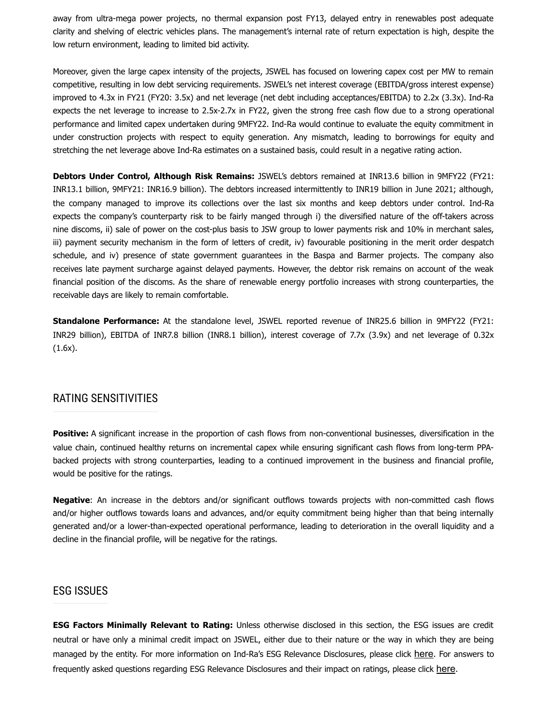away from ultra-mega power projects, no thermal expansion post FY13, delayed entry in renewables post adequate clarity and shelving of electric vehicles plans. The management's internal rate of return expectation is high, despite the low return environment, leading to limited bid activity.

Moreover, given the large capex intensity of the projects, JSWEL has focused on lowering capex cost per MW to remain competitive, resulting in low debt servicing requirements. JSWEL's net interest coverage (EBITDA/gross interest expense) improved to 4.3x in FY21 (FY20: 3.5x) and net leverage (net debt including acceptances/EBITDA) to 2.2x (3.3x). Ind-Ra expects the net leverage to increase to 2.5x-2.7x in FY22, given the strong free cash flow due to a strong operational performance and limited capex undertaken during 9MFY22. Ind-Ra would continue to evaluate the equity commitment in under construction projects with respect to equity generation. Any mismatch, leading to borrowings for equity and stretching the net leverage above Ind-Ra estimates on a sustained basis, could result in a negative rating action.

**Debtors Under Control, Although Risk Remains:** JSWEL's debtors remained at INR13.6 billion in 9MFY22 (FY21: INR13.1 billion, 9MFY21: INR16.9 billion). The debtors increased intermittently to INR19 billion in June 2021; although, the company managed to improve its collections over the last six months and keep debtors under control. Ind-Ra expects the company's counterparty risk to be fairly manged through i) the diversified nature of the off-takers across nine discoms, ii) sale of power on the cost-plus basis to JSW group to lower payments risk and 10% in merchant sales, iii) payment security mechanism in the form of letters of credit, iv) favourable positioning in the merit order despatch schedule, and iv) presence of state government guarantees in the Baspa and Barmer projects. The company also receives late payment surcharge against delayed payments. However, the debtor risk remains on account of the weak financial position of the discoms. As the share of renewable energy portfolio increases with strong counterparties, the receivable days are likely to remain comfortable.

**Standalone Performance:** At the standalone level, JSWEL reported revenue of INR25.6 billion in 9MFY22 (FY21: INR29 billion), EBITDA of INR7.8 billion (INR8.1 billion), interest coverage of 7.7x (3.9x) and net leverage of 0.32x (1.6x).

#### RATING SENSITIVITIES

**Positive:** A significant increase in the proportion of cash flows from non-conventional businesses, diversification in the value chain, continued healthy returns on incremental capex while ensuring significant cash flows from long-term PPAbacked projects with strong counterparties, leading to a continued improvement in the business and financial profile, would be positive for the ratings.

**Negative**: An increase in the debtors and/or significant outflows towards projects with non-committed cash flows and/or higher outflows towards loans and advances, and/or equity commitment being higher than that being internally generated and/or a lower-than-expected operational performance, leading to deterioration in the overall liquidity and a decline in the financial profile, will be negative for the ratings.

#### ESG ISSUES

**ESG Factors Minimally Relevant to Rating:** Unless otherwise disclosed in this section, the ESG issues are credit neutral or have only a minimal credit impact on JSWEL, either due to their nature or the way in which they are being managed by the entity. For more information on Ind-Ra's ESG Relevance Disclosures, please click [here](https://www.indiaratings.co.in/PressRelease?pressReleaseID=56916). For answers to frequently asked questions regarding ESG Relevance Disclosures and their impact on ratings, please click [here](https://www.indiaratings.co.in/PressRelease?pressReleaseID=57016).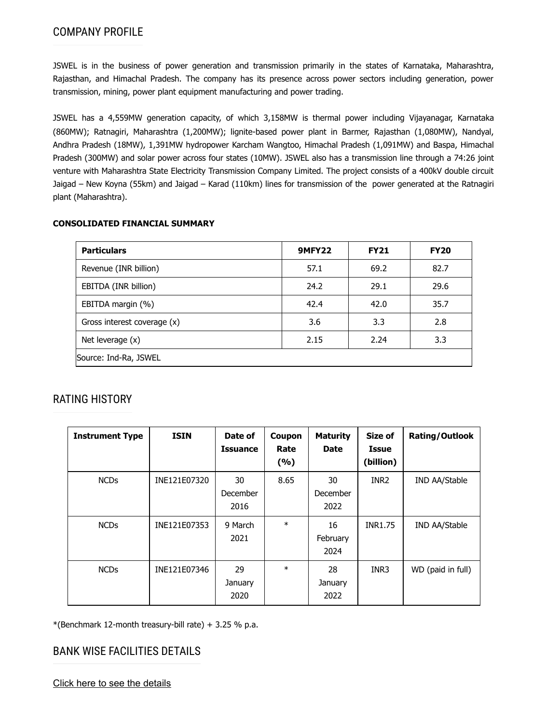JSWEL is in the business of power generation and transmission primarily in the states of Karnataka, Maharashtra, Rajasthan, and Himachal Pradesh. The company has its presence across power sectors including generation, power transmission, mining, power plant equipment manufacturing and power trading.

JSWEL has a 4,559MW generation capacity, of which 3,158MW is thermal power including Vijayanagar, Karnataka (860MW); Ratnagiri, Maharashtra (1,200MW); lignite-based power plant in Barmer, Rajasthan (1,080MW), Nandyal, Andhra Pradesh (18MW), 1,391MW hydropower Karcham Wangtoo, Himachal Pradesh (1,091MW) and Baspa, Himachal Pradesh (300MW) and solar power across four states (10MW). JSWEL also has a transmission line through a 74:26 joint venture with Maharashtra State Electricity Transmission Company Limited. The project consists of a 400kV double circuit Jaigad – New Koyna (55km) and Jaigad – Karad (110km) lines for transmission of the power generated at the Ratnagiri plant (Maharashtra).

#### **CONSOLIDATED FINANCIAL SUMMARY**

| <b>Particulars</b>          | <b>9MFY22</b> | <b>FY21</b> | <b>FY20</b> |  |
|-----------------------------|---------------|-------------|-------------|--|
| Revenue (INR billion)       | 57.1          | 69.2        | 82.7        |  |
| EBITDA (INR billion)        | 24.2          | 29.1        | 29.6        |  |
| EBITDA margin (%)           | 42.4          | 42.0        | 35.7        |  |
| Gross interest coverage (x) | 3.6           | 3.3         | 2.8         |  |
| Net leverage (x)            | 2.15          | 2.24        | 3.3         |  |
| Source: Ind-Ra, JSWEL       |               |             |             |  |

# RATING HISTORY

| <b>Instrument Type</b> | <b>ISIN</b>  | Date of<br><b>Issuance</b> | Coupon<br>Rate<br>(%) | <b>Maturity</b><br><b>Date</b> | Size of<br><b>Issue</b><br>(billion) | <b>Rating/Outlook</b> |
|------------------------|--------------|----------------------------|-----------------------|--------------------------------|--------------------------------------|-----------------------|
| <b>NCDs</b>            | INE121E07320 | 30<br>December<br>2016     | 8.65                  | 30<br>December<br>2022         | INR <sub>2</sub>                     | IND AA/Stable         |
| <b>NCDs</b>            | INE121E07353 | 9 March<br>2021            | $\ast$                | 16<br>February<br>2024         | <b>INR1.75</b>                       | IND AA/Stable         |
| <b>NCDs</b>            | INE121E07346 | 29<br>January<br>2020      | $\ast$                | 28<br>January<br>2022          | INR3                                 | WD (paid in full)     |

 $*(\text{Benchmark 12-month treasury-bill rate}) + 3.25 % p.a.$ 

# BANK WISE FACILITIES DETAILS

[Click here to see the details](https://www.indiaratings.co.in/PressRelease/BankersDetailsHTML?PressReleaseId=57454)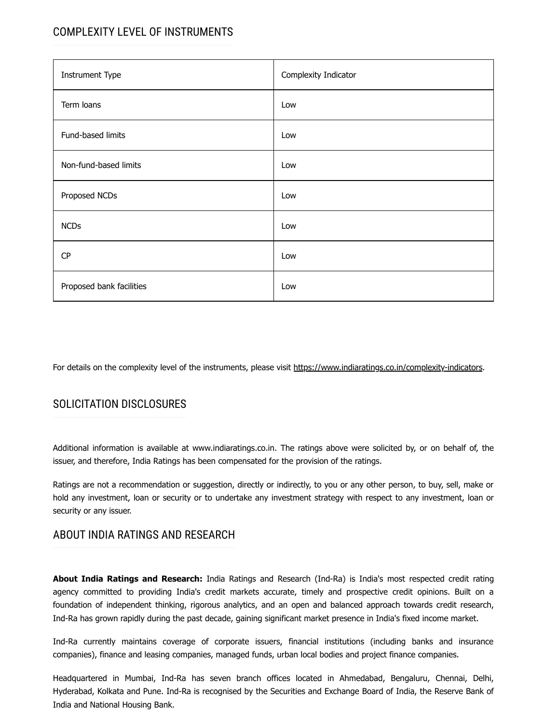# COMPLEXITY LEVEL OF INSTRUMENTS

| <b>Instrument Type</b>   | Complexity Indicator |
|--------------------------|----------------------|
| Term loans               | Low                  |
| Fund-based limits        | Low                  |
| Non-fund-based limits    | Low                  |
| Proposed NCDs            | Low                  |
| <b>NCDs</b>              | Low                  |
| CP                       | Low                  |
| Proposed bank facilities | Low                  |

For details on the complexity level of the instruments, please visit [https://www.indiaratings.co.in/complexity-indicators.](https://www.indiaratings.co.in/complexity-indicators)

# SOLICITATION DISCLOSURES

Additional information is available at www.indiaratings.co.in. The ratings above were solicited by, or on behalf of, the issuer, and therefore, India Ratings has been compensated for the provision of the ratings.

Ratings are not a recommendation or suggestion, directly or indirectly, to you or any other person, to buy, sell, make or hold any investment, loan or security or to undertake any investment strategy with respect to any investment, loan or security or any issuer.

# ABOUT INDIA RATINGS AND RESEARCH

**About India Ratings and Research:** India Ratings and Research (Ind-Ra) is India's most respected credit rating agency committed to providing India's credit markets accurate, timely and prospective credit opinions. Built on a foundation of independent thinking, rigorous analytics, and an open and balanced approach towards credit research, Ind-Ra has grown rapidly during the past decade, gaining significant market presence in India's fixed income market.

Ind-Ra currently maintains coverage of corporate issuers, financial institutions (including banks and insurance companies), finance and leasing companies, managed funds, urban local bodies and project finance companies.

Headquartered in Mumbai, Ind-Ra has seven branch offices located in Ahmedabad, Bengaluru, Chennai, Delhi, Hyderabad, Kolkata and Pune. Ind-Ra is recognised by the Securities and Exchange Board of India, the Reserve Bank of India and National Housing Bank.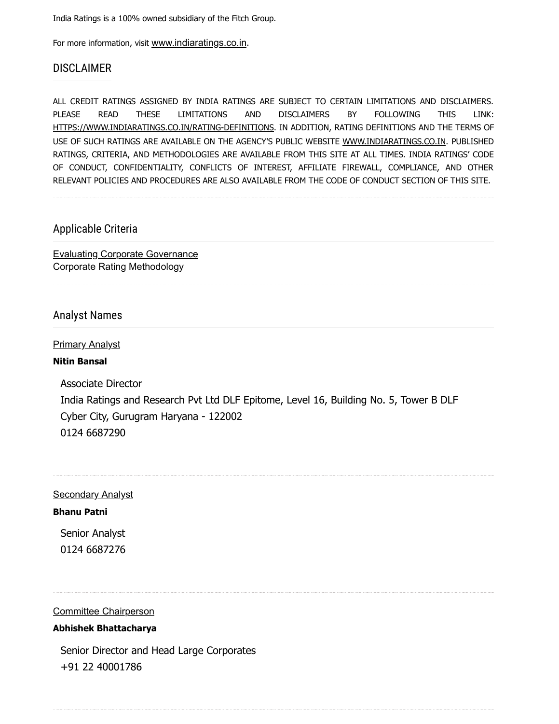India Ratings is a 100% owned subsidiary of the Fitch Group.

For more information, visit [www.indiaratings.co.in](http://www.indiaratings.co.in/).

### DISCLAIMER

ALL CREDIT RATINGS ASSIGNED BY INDIA RATINGS ARE SUBJECT TO CERTAIN LIMITATIONS AND DISCLAIMERS. PLEASE READ THESE LIMITATIONS AND DISCLAIMERS BY FOLLOWING THIS LINK: [HTTPS://WWW.INDIARATINGS.CO.IN/RATING-DEFINITIONS](https://www.indiaratings.co.in/rating-definitions). IN ADDITION, RATING DEFINITIONS AND THE TERMS OF USE OF SUCH RATINGS ARE AVAILABLE ON THE AGENCY'S PUBLIC WEBSITE [WWW.INDIARATINGS.CO.IN.](http://www.indiaratings.co.in/) PUBLISHED RATINGS, CRITERIA, AND METHODOLOGIES ARE AVAILABLE FROM THIS SITE AT ALL TIMES. INDIA RATINGS' CODE OF CONDUCT, CONFIDENTIALITY, CONFLICTS OF INTEREST, AFFILIATE FIREWALL, COMPLIANCE, AND OTHER RELEVANT POLICIES AND PROCEDURES ARE ALSO AVAILABLE FROM THE CODE OF CONDUCT SECTION OF THIS SITE.

### Applicable Criteria

[Evaluating Corporate Governance](https://www.indiaratings.co.in/Uploads/CriteriaReport/Evaluating%20Corporate%20Governance_updated.pdf) [Corporate Rating Methodology](https://www.indiaratings.co.in/Uploads/CriteriaReport/CorporateRatingMethodology.pdf)

#### Analyst Names

Primary Analyst

#### **Nitin Bansal**

Associate Director India Ratings and Research Pvt Ltd DLF Epitome, Level 16, Building No. 5, Tower B DLF Cyber City, Gurugram Haryana - 122002 0124 6687290

**Secondary Analyst** 

#### **Bhanu Patni**

Senior Analyst 0124 6687276

#### Committee Chairperson

#### **Abhishek Bhattacharya**

Senior Director and Head Large Corporates +91 22 40001786